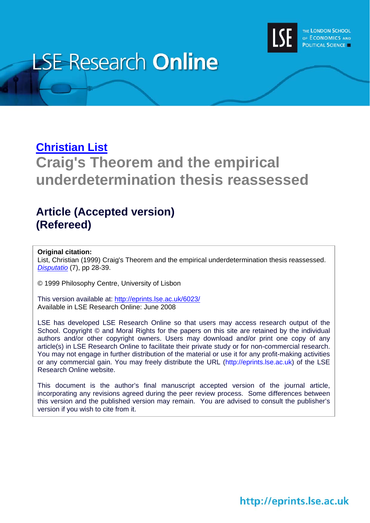

# **LSE Research Online**

# **[Christian List](http://www.lse.ac.uk/people/c.list@lse.ac.uk/)**

# **Craig's Theorem and the empirical underdetermination thesis reassessed**

# **Article (Accepted version) (Refereed)**

#### **Original citation:**

List, Christian (1999) Craig's Theorem and the empirical underdetermination thesis reassessed. *[Disputatio](http://disputatio.com/)* (7), pp 28-39.

© 1999 Philosophy Centre, University of Lisbon

This version available at:<http://eprints.lse.ac.uk/6023/> Available in LSE Research Online: June 2008

LSE has developed LSE Research Online so that users may access research output of the School. Copyright © and Moral Rights for the papers on this site are retained by the individual authors and/or other copyright owners. Users may download and/or print one copy of any article(s) in LSE Research Online to facilitate their private study or for non-commercial research. You may not engage in further distribution of the material or use it for any profit-making activities or any commercial gain. You may freely distribute the URL (http://eprints.lse.ac.uk) of the LSE Research Online website.

This document is the author's final manuscript accepted version of the journal article, incorporating any revisions agreed during the peer review process. Some differences between this version and the published version may remain. You are advised to consult the publisher's version if you wish to cite from it.

# http://eprints.lse.ac.uk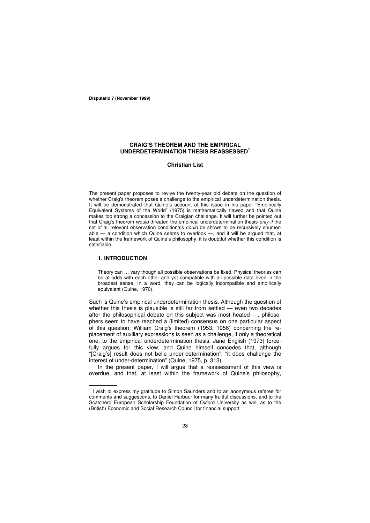**Disputatio 7 (November 1999)**

#### **CRAIG'S THEOREM AND THE EMPIRICAL UNDERDETERMINATION THESIS REASSESSED 1**

#### **Christian List**

The present paper proposes to revive the twenty-year old debate on the question of whether Craig's theorem poses a challenge to the empirical underdetermination thesis. It will be demonstrated that Quine's account of this issue in his paper "Empirically Equivalent Systems of the World" (1975) is mathematically flawed and that Quine makes too strong a concession to the Craigian challenge. It will further be pointed out that Craig's theorem *would* threaten the empirical underdetermination thesis *only if* the set of all relevant observation conditionals *could* be shown to be recursively enumerable — a condition which Quine seems to overlook —, and it will be argued that, at least within the framework of Quine's philosophy, it is doubtful whether this condition is satisfiable.

#### **1. INTRODUCTION**

Theory can … vary though all possible observations be fixed. Physical theories can be at odds with each other and yet compatible with all possible data even in the broadest sense. In a word, they can be logically incompatible and empirically equivalent (Quine, 1970).

Such is Quine's empirical underdetermination thesis. Although the question of whether this thesis is plausible is still far from settled — even two decades after the philosophical debate on this subject was most heated -, philosophers seem to have reached a (limited) consensus on one particular aspect of this question: William Craig's theorem (1953, 1956) concerning the replacement of auxiliary expressions is seen as a challenge, if only a theoretical one, to the empirical underdetermination thesis. Jane English (1973) forcefully argues for this view, and Quine himself concedes that, although "[Craig's] result does not belie under-determination", "it does challenge the interest of under-determination" (Quine, 1975, p. 313).

In the present paper, I will argue that a reassessment of this view is overdue, and that, at least within the framework of Quine's philosophy,

<sup>—————&</sup>lt;br><sup>1</sup> I wish to express my gratitude to Simon Saunders and to an anonymous referee for comments and suggestions, to Daniel Harbour for many fruitful discussions, and to the Scatcherd European Scholarship Foundation of Oxford University as well as to the (British) Economic and Social Research Council for financial support.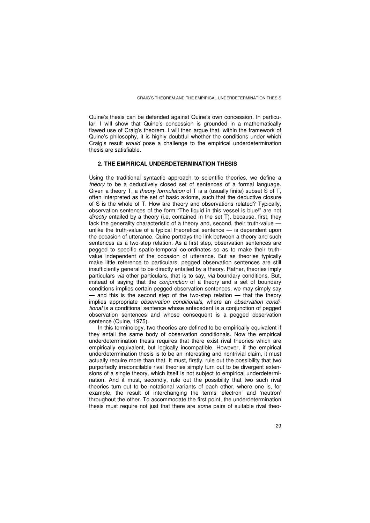Quine's thesis can be defended against Quine's own concession. In particular, I will show that Quine's concession is grounded in a mathematically flawed use of Craig's theorem. I will then argue that, within the framework of Quine's philosophy, it is highly doubtful whether the conditions under which Craig's result *would* pose a challenge to the empirical underdetermination thesis are satisfiable.

#### **2. THE EMPIRICAL UNDERDETERMINATION THESIS**

Using the traditional syntactic approach to scientific theories, we define a *theory* to be a deductively closed set of sentences of a formal language. Given a theory T, a *theory formulation* of T is a (usually finite) subset S of T, often interpreted as the set of basic axioms, such that the deductive closure of S is the whole of T. How are theory and observations related? Typically, observation sentences of the form "The liquid in this vessel is blue!" are not *directly* entailed by a theory (i.e. contained in the set T), because, first, they lack the generality characteristic of a theory and, second, their truth-value unlike the truth-value of a typical theoretical sentence — is dependent upon the occasion of utterance. Quine portrays the link between a theory and such sentences as a two-step relation. As a first step, observation sentences are pegged to specific spatio-temporal co-ordinates so as to make their truthvalue independent of the occasion of utterance. But as theories typically make little reference to particulars, pegged observation sentences are still insufficiently general to be directly entailed by a theory. Rather, theories imply particulars *via* other particulars, that is to say, *via* boundary conditions. But, instead of saying that the *conjunction* of a theory and a set of boundary conditions implies certain pegged observation sentences, we may simply say — and this is the second step of the two-step relation — that the theory implies appropriate *observation conditionals*, where an *observation conditional* is a conditional sentence whose antecedent is a conjunction of pegged observation sentences and whose consequent is a pegged observation sentence (Quine, 1975).

In this terminology, two theories are defined to be empirically equivalent if they entail the same body of observation conditionals. Now the empirical underdetermination thesis requires that there exist rival theories which are empirically equivalent, but logically incompatible. However, if the empirical underdetermination thesis is to be an interesting and nontrivial claim, it must actually require more than that. It must, firstly, rule out the possibility that two purportedly irreconcilable rival theories simply turn out to be divergent extensions of a single theory, which itself is not subject to empirical underdetermination. And it must, secondly, rule out the possibility that two such rival theories turn out to be notational variants of each other, where one is, for example, the result of interchanging the terms 'electron' and 'neutron' throughout the other. To accommodate the first point, the underdetermination thesis must require not just that there are *some* pairs of suitable rival theo-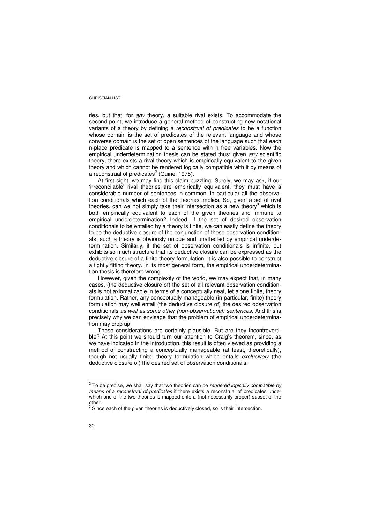ries, but that, for *any* theory, a suitable rival exists. To accommodate the second point, we introduce a general method of constructing new notational variants of a theory by defining a *reconstrual of predicates* to be a function whose domain is the set of predicates of the relevant language and whose converse domain is the set of open sentences of the language such that each n-place predicate is mapped to a sentence with n free variables. Now the empirical underdetermination thesis can be stated thus: given *any* scientific theory, there exists a rival theory which is empirically equivalent to the given theory and which cannot be rendered logically compatible with it by means of a reconstrual of predicates $2$  (Quine, 1975).

At first sight, we may find this claim puzzling. Surely, we may ask, if our 'irreconcilable' rival theories are empirically equivalent, they must have a considerable number of sentences in common, in particular all the observation conditionals which each of the theories implies. So, given a set of rival theories, can we not simply take their intersection as a new theory<sup>3</sup> which is both empirically equivalent to each of the given theories and immune to empirical underdetermination? Indeed, if the set of desired observation conditionals to be entailed by a theory is finite, we can easily define the theory to be the deductive closure of the conjunction of these observation conditionals; such a theory is obviously unique and unaffected by empirical underdetermination. Similarly, if the set of observation conditionals is infinite, but exhibits so much structure that its deductive closure can be expressed as the deductive closure of a finite theory formulation, it is also possible to construct a tightly fitting theory. In its most general form, the empirical underdetermination thesis is therefore wrong.

However, given the complexity of the world, we may expect that, in many cases, (the deductive closure of) the set of all relevant observation conditionals is not axiomatizable in terms of a conceptually neat, let alone finite, theory formulation. Rather, any conceptually manageable (in particular, finite) theory formulation may well entail (the deductive closure of) the desired observation conditionals *as well as some other (non-observational) sentences*. And this is precisely why we can envisage that the problem of empirical underdetermination may crop up.

These considerations are certainly plausible. But are they incontrovertible? At this point we should turn our attention to Craig's theorem, since, as we have indicated in the introduction, this result is often viewed as providing a method of constructing a conceptually manageable (at least, theoretically), though not usually finite, theory formulation which entails *exclusively* (the deductive closure of) the desired set of observation conditionals.

<sup>—</sup> — — — — 2 To be precise, we shall say that two theories can be *rendered logically compatible by means of a reconstrual of predicates* if there exists a reconstrual of predicates under which one of the two theories is mapped onto a (not necessarily proper) subset of the other.<br><sup>3</sup> Sine

Since each of the given theories is deductively closed, so is their intersection.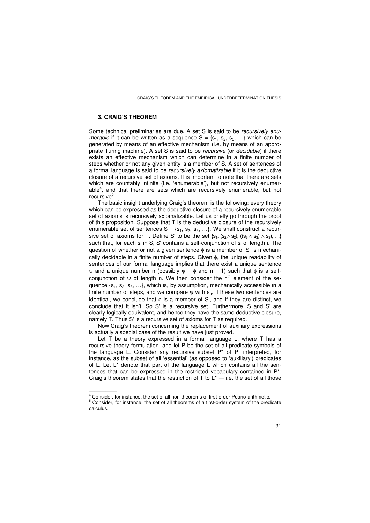#### **3. CRAIG'S THEOREM**

Some technical preliminaries are due. A set S is said to be *recursively enumerable* if it can be written as a sequence  $S = \{s_1, s_2, s_3, ...\}$  which can be generated by means of an effective mechanism (i.e. by means of an appropriate Turing machine). A set S is said to be *recursive* (or *decidable*) if there exists an effective mechanism which can determine in a finite number of steps whether or not any given entity is a member of S. A set of sentences of a formal language is said to be *recursively axiomatizable* if it is the deductive closure of a recursive set of axioms. It is important to note that there are sets which are countably infinite (i.e. 'enumerable'), but not recursively enumerable 4 , and that there are sets which are recursively enumerable, but not recursive<sup>5</sup>.

The basic insight underlying Craig's theorem is the following: every theory which can be expressed as the deductive closure of a recursively enumerable set of axioms is recursively axiomatizable. Let us briefly go through the proof of this proposition. Suppose that T is the deductive closure of the recursively enumerable set of sentences  $S = \{s_1, s_2, s_3, ...\}$ . We shall construct a recursive set of axioms for T. Define S' to be the set  $\{s_1, (s_2 \wedge s_2), ((s_3 \wedge s_3) \wedge s_3), ...\}$ such that, for each s<sub>i</sub> in S, S' contains a self-conjunction of s<sub>i</sub> of length i. The question of whether or not a given sentence  $\phi$  is a member of S' is mechanically decidable in a finite number of steps. Given φ, the unique readability of sentences of our formal language implies that there exist a unique sentence  $ψ$  and a unique number n (possibly  $ψ = φ$  and n = 1) such that φ is a selfconjunction of  $\psi$  of length n. We then consider the n<sup>th</sup> element of the sequence  $\{s_1, s_2, s_3, ...\}$ , which is, by assumption, mechanically accessible in a finite number of steps, and we compare  $\psi$  with  $s_n$ . If these two sentences are identical, we conclude that  $\phi$  is a member of S', and if they are distinct, we conclude that it isn't. So S'is a recursive set. Furthermore, S and S'are clearly logically equivalent, and hence they have the same deductive closure, namely T. Thus S'is a recursive set of axioms for T as required.

Now Craig's theorem concerning the replacement of auxiliary expressions is actually a special case of the result we have just proved.

Let T be a theory expressed in a formal language L, where T has a recursive theory formulation, and let P be the set of all predicate symbols of the language L. Consider any recursive subset P\* of P, interpreted, for instance, as the subset of all 'essential' (as opposed to 'auxiliary') predicates of L. Let L\* denote that part of the language L which contains all the sentences that can be expressed in the restricted vocabulary contained in P\*. Craig's theorem states that the restriction of  $T$  to  $L^*$  — i.e. the set of all those

— — — — —

 $4<sup>4</sup>$  Consider, for instance, the set of all non-theorems of first-order Peano-arithmetic.

<sup>5</sup> Consider, for instance, the set of all theorems of a first-order system of the predicate calculus.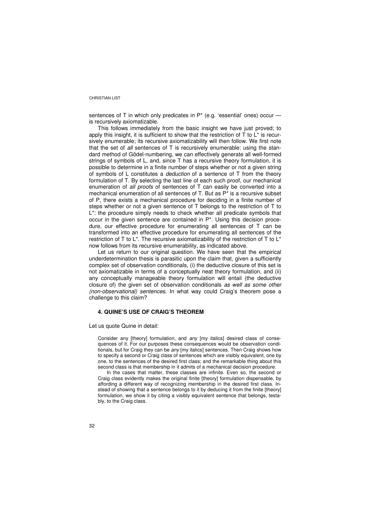sentences of T in which only predicates in P\* (e.g. 'essential' ones) occur is recursively axiomatizable.

This follows immediately from the basic insight we have just proved; to apply this insight, it is sufficient to show that the restriction of  $T$  to  $L^*$  is recursively enumerable; its recursive axiomatizability will then follow. We first note that the set of *all* sentences of T is recursively enumerable: using the standard method of Gödel-numbering, we can effectively generate all well-formed strings of symbols of L, and, since T has a recursive theory formulation, it is possible to determine in a finite number of steps whether or not a given string of symbols of L constitutes a *deduction* of a sentence of T from the theory formulation of T. By selecting the last line of each such proof, our mechanical enumeration of *all proofs* of sentences of T can easily be converted into a mechanical enumeration of all sentences of T. But as P\* is a recursive subset of P, there exists a mechanical procedure for deciding in a finite number of steps whether or not a given sentence of T belongs to the restriction of T to L\*: the procedure simply needs to check whether all predicate symbols that occur in the given sentence are contained in P\*. Using this decision procedure, our effective procedure for enumerating all sentences of T can be transformed into an effective procedure for enumerating all sentences of the restriction of T to  $L^*$ . The recursive axiomatizability of the restriction of T to  $L^*$ now follows from its recursive enumerability, as indicated above.

Let us return to our original question. We have seen that the empirical underdetermination thesis is parasitic upon the claim that, given a sufficiently complex set of observation conditionals, (i) the deductive closure of this set is not axiomatizable in terms of a conceptually neat theory formulation, and (ii) any conceptually manageable theory formulation will entail (the deductive closure of) the given set of observation conditionals *as well as some other (non-observational) sentences*. In what way could Craig's theorem pose a challenge to this claim?

#### **4. QUINE'S USE OF CRAIG'S THEOREM**

Let us quote Quine in detail:

Consider any [theory] formulation, and *any* [my italics] desired class of consequences of it. For our purposes these consequences would be observation conditionals, but for Craig they can be *any* [my italics] sentences. Then Craig shows how to specify a second or Craig class of sentences which are visibly equivalent, one by one, to the sentences of the desired first class; and the remarkable thing about this second class is that membership in it admits of a mechanical decision procedure.

In the cases that matter, these classes are infinite. Even so, the second or Craig class evidently makes the original finite [theory] formulation dispensable, by affording a different way of recognizing membership in the desired first class. Instead of showing that a sentence belongs to it by deducing it from the finite [theory] formulation, we show it by citing a visibly equivalent sentence that belongs, testably, to the Craig class.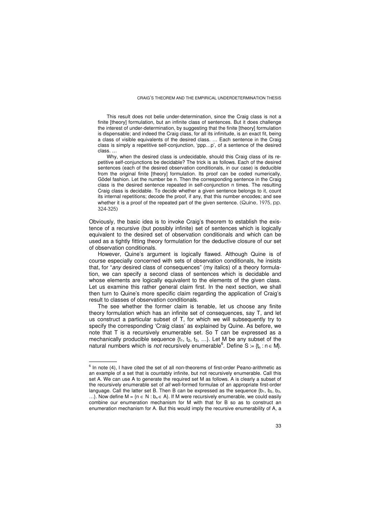This result does not belie under-determination, since the Craig class is not a finite [theory] formulation, but an infinite class of sentences. But it does challenge the interest of under-determination, by suggesting that the finite [theory] formulation is dispensable; and indeed the Craig class, for all its infinitude, is an exact fit, being a class of visible equivalents of the desired class. … Each sentence in the Craig class is simply a repetitive self-conjunction, 'ppp…p', of a sentence of the desired class. …

Why, when the desired class is undecidable, should this Craig class of its repetitive self-conjunctions be decidable? The trick is as follows. Each of the desired sentences (each of the desired observation conditionals, in our case) is deducible from the original finite [theory] formulation. Its proof can be coded numerically, Gödel fashion. Let the number be n. Then the corresponding sentence in the Craig class is the desired sentence repeated in self-conjunction n times. The resulting Craig class is decidable. To decide whether a given sentence belongs to it, count its internal repetitions; decode the proof, if any, that this number encodes; and see whether it is a proof of the repeated part of the given sentence. (Quine, 1975, pp. 324-325)

Obviously, the basic idea is to invoke Craig's theorem to establish the existence of a recursive (but possibly infinite) set of sentences which is logically equivalent to the desired set of observation conditionals and which can be used as a tightly fitting theory formulation for the deductive closure of our set of observation conditionals.

However, Quine's argument is logically flawed. Although Quine is of course especially concerned with sets of observation conditionals, he insists that, for "*any* desired class of consequences" (my italics) of a theory formulation, we can specify a second class of sentences which is decidable and whose elements are logically equivalent to the elements of the given class. Let us examine this rather general claim first. In the next section, we shall then turn to Quine's more specific claim regarding the application of Craig's result to classes of observation conditionals.

The see whether the former claim is tenable, let us choose any finite theory formulation which has an infinite set of consequences, say T, and let us construct a particular subset of T, for which we will subsequently try to specify the corresponding 'Craig class' as explained by Quine. As before, we note that T is a recursively enumerable set. So T can be expressed as a mechanically producible sequence  $\{t_1, t_2, t_3, ...\}$ . Let M be any subset of the natural numbers which is *not* recursively enumerable<sup>6</sup>. Define S = { $t_n$  :  $n \in M$ }.

<sup>—</sup> — — — — 6 In note (4), I have cited the set of all non-theorems of first-order Peano-arithmetic as an example of a set that is countably infinite, but not recursively enumerable. Call this set A. We can use A to generate the required set M as follows. A is clearly a subset of the recursively enumerable set of *all* well-formed formulae of an appropriate first-order language. Call the latter set B. Then B can be expressed as the sequence  ${b_1, b_2, b_3, \dots, b_n}$ 

<sup>...}.</sup> Now define  $M = \{n \in N : b_n \in A\}$ . If M were recursively enumerable, we could easily combine our enumeration mechanism for M with that for B so as to construct an enumeration mechanism for A. But this would imply the recursive enumerability of A, a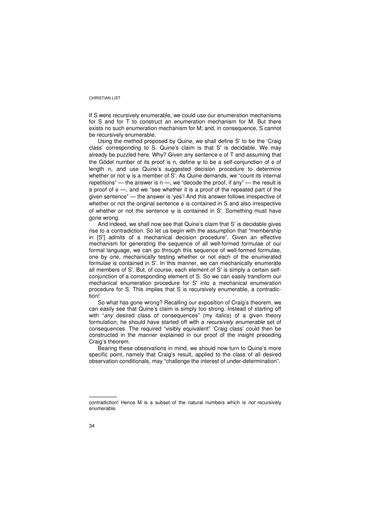If S were recursively enumerable, we could use our enumeration mechanisms for S and for T to construct an enumeration mechanism for M. But there exists no such enumeration mechanism for M; and, in consequence, S cannot be recursively enumerable.

Using the method proposed by Quine, we shall define S'to be the 'Craig class' corresponding to S. Quine's claim is that S'is decidable. We may already be puzzled here. Why? Given any sentence  $\phi$  of T and assuming that the Gödel number of its proof is n, define *w* to be a self-conjunction of φ of length n, and use Quine's suggested decision procedure to determine whether or not ψ is a member of S'. As Quine demands, we "count its internal repetitions" — the answer is  $n -$ , we "decode the proof, if any" — the result is a proof of  $\phi$  —, and we "see whether it is a proof of the repeated part of the given sentence" — the answer is 'yes'! And this answer follows irrespective of whether or not the original sentence  $\phi$  is contained in S and also irrespective of whether or not the sentence  $\psi$  is contained in S'. Something must have gone wrong.

And indeed, we shall now see that Quine's claim that S' is decidable gives rise to a contradiction. So let us begin with the assumption that "membership in [S'] admits of a mechanical decision procedure". Given an effective mechanism for generating the sequence of all well-formed formulae of our formal language, we can go through this sequence of well-formed formulae, one by one, mechanically testing whether or not each of the enumerated formulae is contained in S'. In this manner, we can mechanically enumerate all members of S'. But, of course, each element of S'is simply a certain selfconjunction of a corresponding element of S. So we can easily transform our mechanical enumeration procedure for S'into a mechanical enumeration procedure for S. This implies that S is recursively enumerable, a contradiction!

So what has gone wrong? Recalling our exposition of Craig's theorem, we can easily see that Quine's claim is simply too strong. Instead of starting off with "*any* desired class of consequences" (my italics) of a given theory formulation, he should have started off with a *recursively enumerable* set of consequences. The required "visibly equivalent" 'Craig class' could then be constructed in the manner explained in our proof of the insight preceding Craig's theorem.

Bearing these observations in mind, we should now turn to Quine's more specific point, namely that Craig's result, applied to the class of all desired observation conditionals, may "challenge the interest of under-determination".

— — — — —

contradiction! Hence M is a subset of the natural numbers which is *not* recursively enumerable.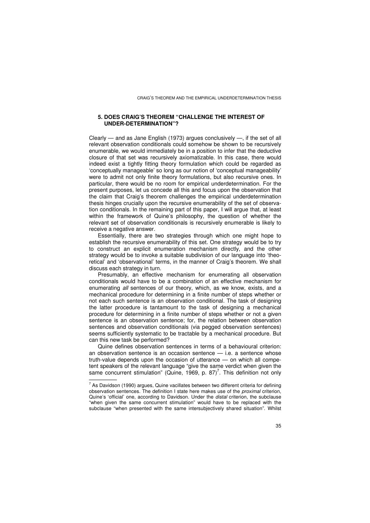#### **5. DOES CRAIG'S THEOREM "CHALLENGE THE INTEREST OF UNDER-DETERMINATION"?**

Clearly — and as Jane English (1973) argues conclusively —, if the set of all relevant observation conditionals could somehow be shown to be recursively enumerable, we would immediately be in a position to infer that the deductive closure of that set was recursively axiomatizable. In this case, there would indeed exist a tightly fitting theory formulation which could be regarded as 'conceptually manageable' so long as our notion of 'conceptual manageability' were to admit not only finite theory formulations, but also recursive ones. In particular, there would be no room for empirical underdetermination. For the present purposes, let us concede all this and focus upon the observation that the claim that Craig's theorem challenges the empirical underdetermination thesis hinges crucially upon the recursive enumerability of the set of observation conditionals. In the remaining part of this paper, I will argue that, at least within the framework of Quine's philosophy, the question of whether the relevant set of observation conditionals is recursively enumerable is likely to receive a negative answer.

Essentially, there are two strategies through which one might hope to establish the recursive enumerability of this set. One strategy would be to try to construct an explicit enumeration mechanism directly, and the other strategy would be to invoke a suitable subdivision of our language into 'theoretical' and 'observational' terms, in the manner of Craig's theorem. We shall discuss each strategy in turn.

Presumably, an effective mechanism for enumerating all observation conditionals would have to be a combination of an effective mechanism for enumerating *all* sentences of our theory, which, as we know, exists, and a mechanical procedure for determining in a finite number of steps whether or not each such sentence is an observation conditional. The task of designing the latter procedure is tantamount to the task of designing a mechanical procedure for determining in a finite number of steps whether or not a given sentence is an observation sentence; for, the relation between observation sentences and observation conditionals (via pegged observation sentences) seems sufficiently systematic to be tractable by a mechanical procedure. But can this new task be performed?

Quine defines observation sentences in terms of a behavioural criterion: an observation sentence is an occasion sentence — i.e. a sentence whose truth-value depends upon the occasion of utterance — on which all competent speakers of the relevant language "give the same verdict when given the same concurrent stimulation" (Quine, 1969, p. 87)<sup>7</sup>. This definition not only

<sup>——————&</sup>lt;br><sup>7</sup> As Davidson (1990) argues, Quine vacillates between two different criteria for defining observation sentences. The definition I state here makes use of the *proximal* criterion, Quine's 'official' one, according to Davidson. Under the *distal* criterion, the subclause "when given the same concurrent stimulation" would have to be replaced with the subclause "when presented with the same intersubjectively shared situation". Whilst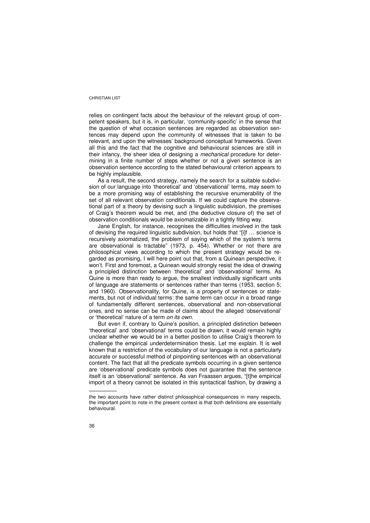relies on contingent facts about the behaviour of the relevant group of competent speakers, but it is, in particular, 'community-specific' in the sense that the question of what occasion sentences are regarded as observation sentences may depend upon the community of witnesses that is taken to be relevant, and upon the witnesses' background conceptual frameworks. Given all this and the fact that the cognitive and behavioural sciences are still in their infancy, the sheer idea of designing a *mechanical* procedure for determining in a finite number of steps whether or not a given sentence is an observation sentence according to the stated behavioural criterion appears to be highly implausible.

As a result, the second strategy, namely the search for a suitable subdivision of our language into 'theoretical' and 'observational' terms, may seem to be a more promising way of establishing the recursive enumerability of the set of all relevant observation conditionals. If we could capture the observational part of a theory by devising such a linguistic subdivision, the premises of Craig's theorem would be met, and (the deductive closure of) the set of observation conditionals would be axiomatizable in a tightly fitting way.

Jane English, for instance, recognises the difficulties involved in the task of devising the required linguistic subdivision, but holds that "[i]f … science is recursively axiomatized, the problem of saying which of the system's terms are observational is tractable" (1973, p. 454). Whether or not there are philosophical views according to which the present strategy would be regarded as promising, I will here point out that, from a Quinean perspective, it won't. First and foremost, a Quinean would strongly resist the idea of drawing a principled distinction between 'theoretical' and 'observational' terms. As Quine is more than ready to argue, the smallest individually significant units of language are statements or sentences rather than terms (1953, section 5; and 1960). Observationality, for Quine, is a property of sentences or statements, but not of individual terms: the same term can occur in a broad range of fundamentally different sentences, observational and non-observational ones, and no sense can be made of claims about the alleged 'observational' or 'theoretical' nature of a term *on its own*.

But even if, contrary to Quine's position, a principled distinction between 'theoretical' and 'observational' terms could be drawn, it would remain highly unclear whether we would be in a better position to utilise Craig's theorem to challenge the empirical underdetermination thesis. Let me explain. It is well known that a restriction of the vocabulary of our language is not a particularly accurate or successful method of pinpointing sentences with an observational content. The fact that all the predicate symbols occurring in a given sentence are 'observational' predicate symbols does not guarantee that the sentence itself is an 'observational' sentence. As van Fraassen argues, "[t]he empirical import of a theory cannot be isolated in this syntactical fashion, by drawing a

— — — — —

the two accounts have rather distinct philosophical consequences in many respects, the important point to note in the present context is that both definitions are essentially behavioural.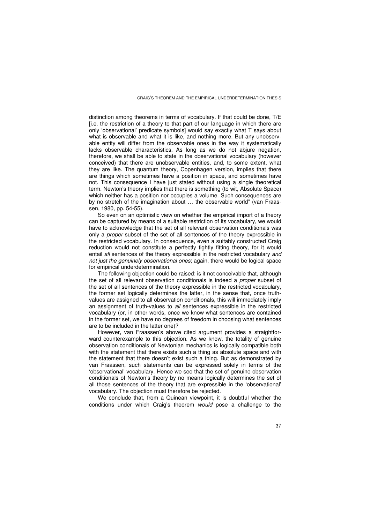distinction among theorems in terms of vocabulary. If that could be done, T/E [i.e. the restriction of a theory to that part of our language in which there are only 'observational' predicate symbols] would say exactly what T says about what is observable and what it is like, and nothing more. But any unobservable entity will differ from the observable ones in the way it systematically lacks observable characteristics. As long as we do not abjure negation, therefore, we shall be able to state in the observational vocabulary (however conceived) that there are unobservable entities, and, to some extent, what they are like. The quantum theory, Copenhagen version, implies that there are things which sometimes have a position in space, and sometimes have not. This consequence I have just stated without using a single theoretical term. Newton's theory implies that there is something (to wit, Absolute Space) which neither has a position nor occupies a volume. Such consequences are by no stretch of the imagination about … the observable world" (van Fraassen, 1980, pp. 54-55).

So even on an optimistic view on whether the empirical import of a theory can be captured by means of a suitable restriction of its vocabulary, we would have to acknowledge that the set of all relevant observation conditionals was only a *proper* subset of the set of all sentences of the theory expressible in the restricted vocabulary. In consequence, even a suitably constructed Craig reduction would not constitute a perfectly tightly fitting theory, for it would entail *all* sentences of the theory expressible in the restricted vocabulary *and not just the genuinely observational ones*; again, there would be logical space for empirical underdetermination.

The following objection could be raised: is it not conceivable that, although the set of all relevant observation conditionals is indeed a *proper* subset of the set of all sentences of the theory expressible in the restricted vocabulary, the former set logically determines the latter, in the sense that, once truthvalues are assigned to all observation conditionals, this will immediately imply an assignment of truth-values to *all* sentences expressible in the restricted vocabulary (or, in other words, once we know what sentences are contained in the former set, we have no degrees of freedom in choosing what sentences are to be included in the latter one)?

However, van Fraassen's above cited argument provides a straightforward counterexample to this objection. As we know, the totality of genuine observation conditionals of Newtonian mechanics is logically compatible both with the statement that there exists such a thing as absolute space and with the statement that there doesn't exist such a thing. But as demonstrated by van Fraassen, such statements can be expressed solely in terms of the 'observational' vocabulary. Hence we see that the set of genuine observation conditionals of Newton's theory by no means logically determines the set of all those sentences of the theory that are expressible in the 'observational' vocabulary. The objection must therefore be rejected.

We conclude that, from a Quinean viewpoint, it is doubtful whether the conditions under which Craig's theorem *would* pose a challenge to the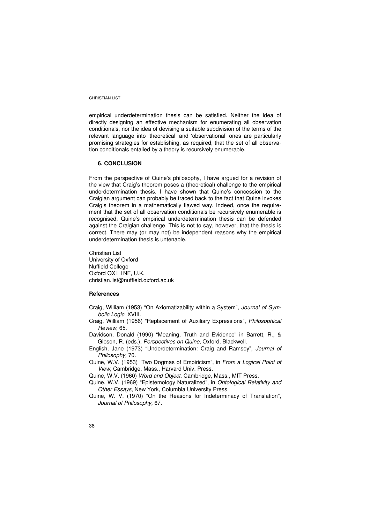empirical underdetermination thesis can be satisfied. Neither the idea of directly designing an effective mechanism for enumerating all observation conditionals, nor the idea of devising a suitable subdivision of the terms of the relevant language into 'theoretical' and 'observational' ones are particularly promising strategies for establishing, as required, that the set of all observation conditionals entailed by a theory is recursively enumerable.

#### **6. CONCLUSION**

From the perspective of Quine's philosophy, I have argued for a revision of the view that Craig's theorem poses a (theoretical) challenge to the empirical underdetermination thesis. I have shown that Quine's concession to the Craigian argument can probably be traced back to the fact that Quine invokes Craig's theorem in a mathematically flawed way. Indeed, once the requirement that the set of all observation conditionals be recursively enumerable is recognised, Quine's empirical underdetermination thesis can be defended against the Craigian challenge. This is not to say, however, that the thesis is correct. There may (or may not) be independent reasons why the empirical underdetermination thesis is untenable.

Christian List University of Oxford Nuffield College Oxford OX1 1NF, U.K. christian.list@nuffield.oxford.ac.uk

#### **References**

- Craig, William (1953) "On Axiomatizability within a System", *Journal of Symbolic Logic*, XVIII.
- Craig, William (1956) "Replacement of Auxiliary Expressions", *Philosophical Review*, 65.
- Davidson, Donald (1990) "Meaning, Truth and Evidence" in Barrett, R., & Gibson, R. (eds.), *Perspectives on Quine*, Oxford, Blackwell.
- English, Jane (1973) "Underdetermination: Craig and Ramsey", *Journal of Philosophy,* 70.
- Quine, W.V. (1953) "Two Dogmas of Empiricism", in *From a Logical Point of View*, Cambridge, Mass., Harvard Univ. Press.

Quine, W.V. (1960) *Word and Object*, Cambridge, Mass., MIT Press.

- Quine, W.V. (1969) "Epistemology Naturalized", in *Ontological Relativity and Other Essays*, New York, Columbia University Press.
- Quine, W. V. (1970) "On the Reasons for Indeterminacy of Translation", *Journal of Philosophy,* 67.